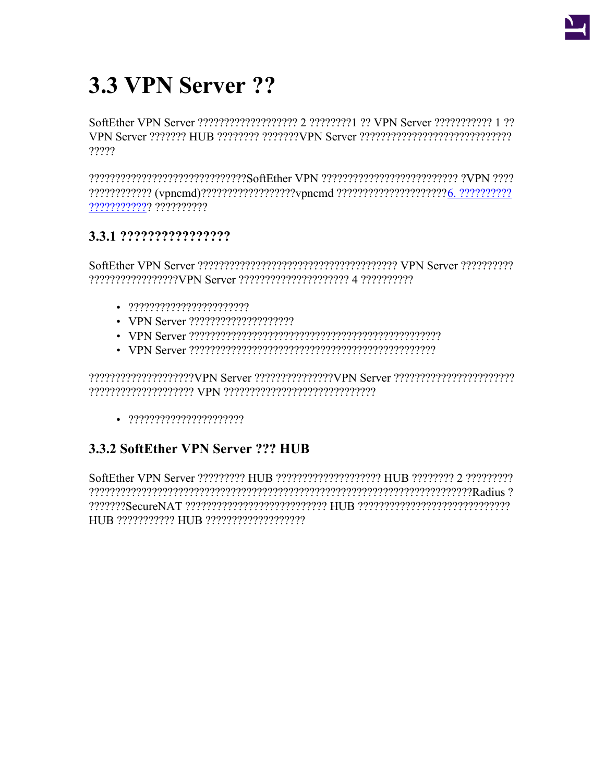

# 3.3 VPN Server ??

SoftEther VPN Server 22222222222222222 2 222222221 22 VPN Server 22222222222 1 22 ?????

????????????? (vpncmd)??????????????????vpncmd????????????????????6.???????????? ???????????? ??????????

# 3.3.1 ?????????????????

- 
- 
- 
- 

# 3.3.2 SoftEther VPN Server ??? HUB

SoftEther VPN Server ?????????? HUB ?????????????????????? HUB ????????? 2 ??????????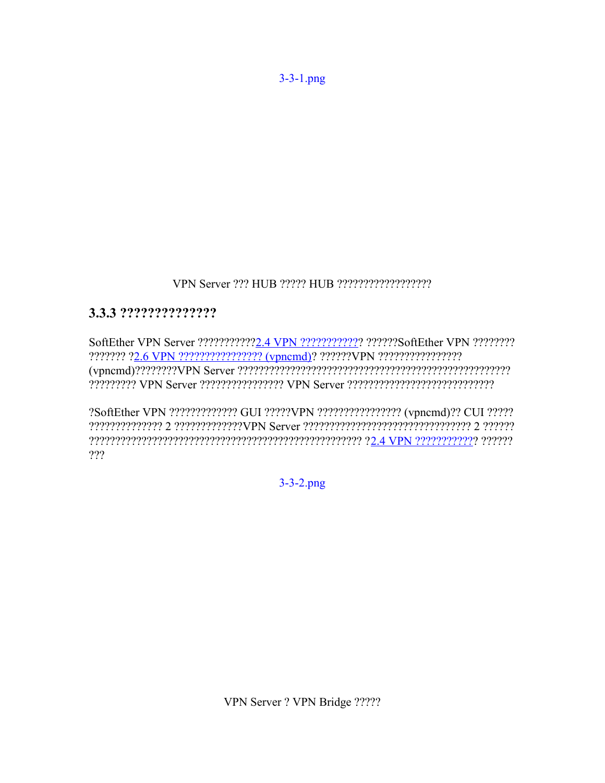$3 - 3 - 1$ .png

# 

# 3.3.3 ???????????????

SoftEther VPN Server ????????????<u>2.4 VPN ???????????</u>? ??????SoftEther VPN ????????? 

?SoftEther VPN ?????????????? GUI ?????VPN ????????????????? (vpncmd)?? CUI ????? ???

 $3 - 3 - 2$ .png

VPN Server ? VPN Bridge ?????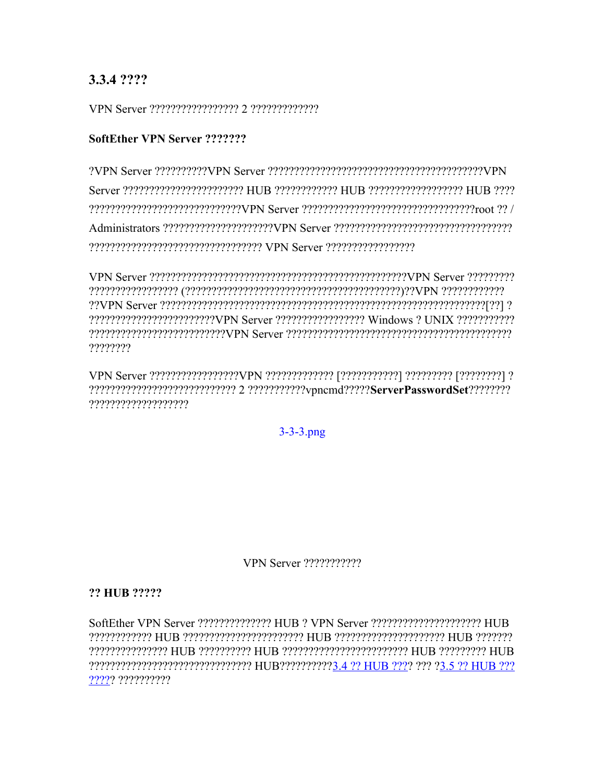# 3.3.4 ????

## SoftEther VPN Server ???????

?????????????????????????????VPN Server ?????????????????????????????????oot ?? / 

renterenterenterenteren der antiborrenten der antiborren der genommen der erste erstehen erstehenen antiborren ????????

????????????????????

 $3-3-3.$ png

**VPN Server** ????????????

#### ?? HUB ?????

SoftEther VPN Server ??????????????? HUB ? VPN Server ??????????????????????? HUB ????? ??????????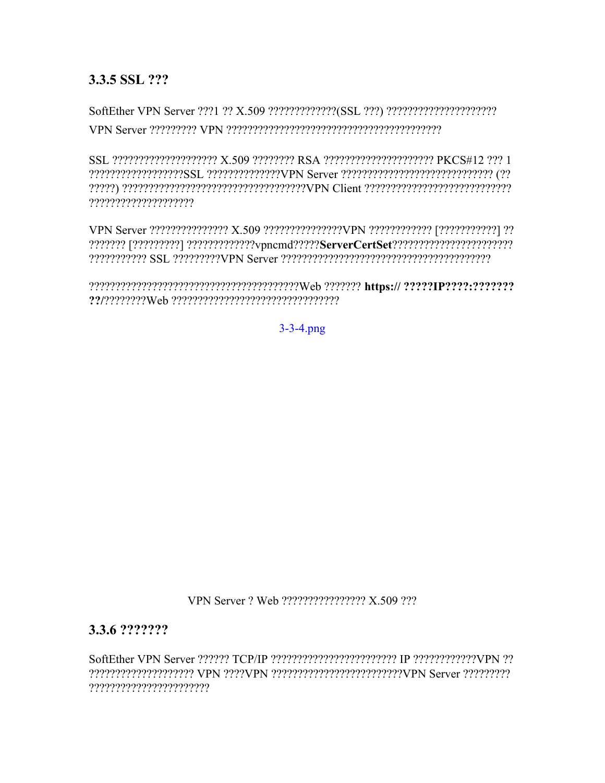## 3.3.5 SSL ???

 $SSL.$ 2222222222222222222223  $X$  509 2222222  $RSA$  222222222222222  $PKCS#12$  222 1 ?????????????????????

VPN Server ??????????????? X.509 ????????????????VPN ???????????? [???????????] ?? 

 $3 - 3 - 4$ .png

VPN Server ? Web ???????????????? X.509 ???

3.3.6 ???????

???????????????????????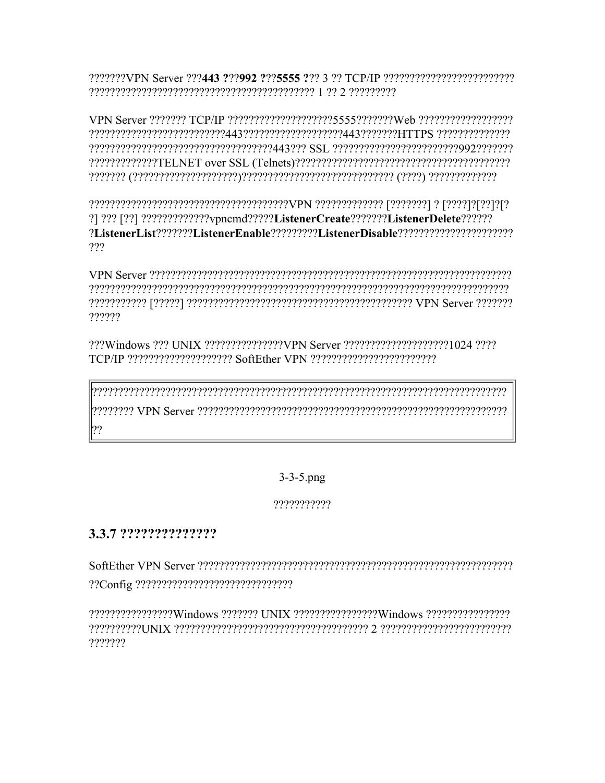???????????????????????????????????443??? SSL ?????????????????????992?????????? 

?] ??? [??] ??????????????vpncmd?????ListenerCreate???????ListenerDelete?????? ?ListenerList???????ListenerEnable?????????ListenerDisable??????????????????????? ???

??????

???Windows ??? UNIX ??????????????VPN Server ?????????????????????1024 ???? 

??

## $3 - 3 - 5$ .png

## ???????????

# 3.3.7 ???????????????

??????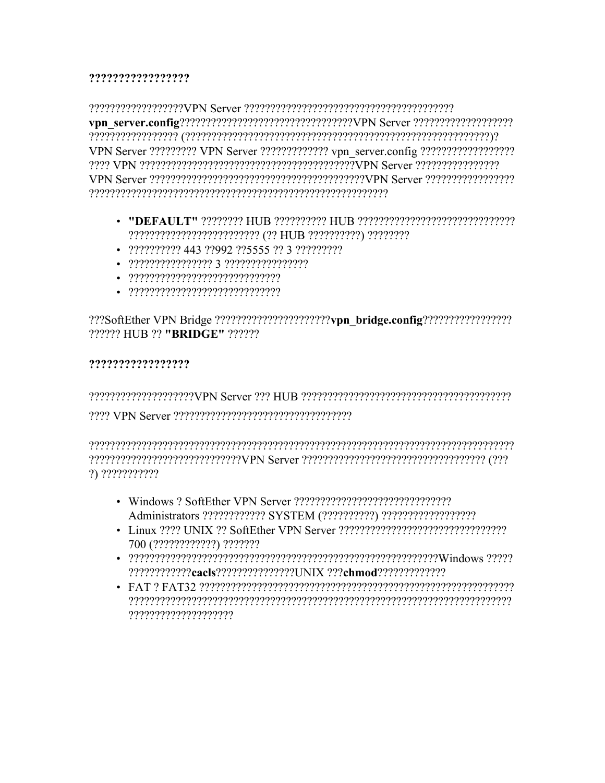#### ?????????????????

- 
- 
- 
- 
- 

?????? HUB ?? "BRIDGE" ??????

#### ??????????????????

2222 VPN Server 22222222222222222222222222222

?) ???????????

- 
- 700 (????????????) ???????
- 2222222222220 cacls 22222222222221 JNIX 222 chmod 222222222222
-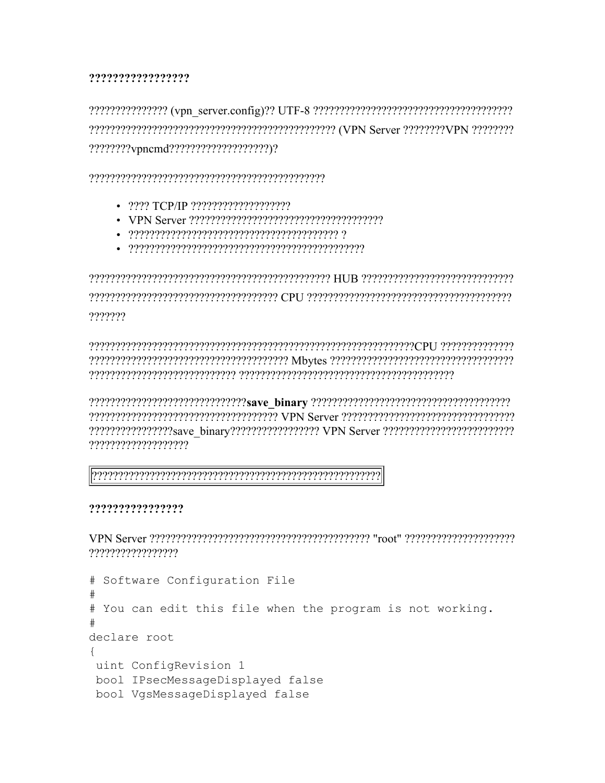#### ?????????????????

????????vpncmd???????????????????)?

- 2222 TCP/IP 2222222222222222222
- 
- 
- $-27222222222220$

777777

????????????????????

#### ?????????????????

,,,,,,,,,,,,,,,,,,,,,,

# Software Configuration File  $#$ # You can edit this file when the program is not working. declare root  $\left\{ \right.$ uint ConfigRevision 1 bool IPsecMessageDisplayed false bool VgsMessageDisplayed false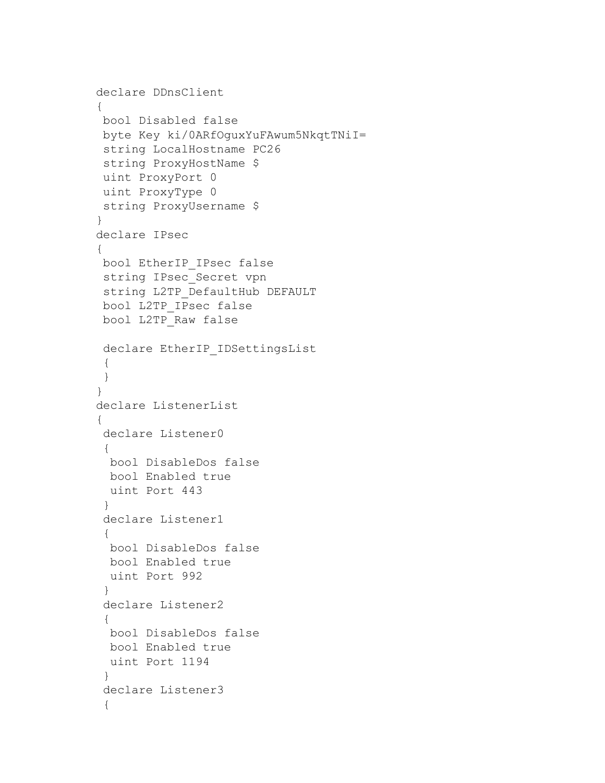```
declare DDnsClient
{
bool Disabled false
byte Key ki/0ARfOguxYuFAwum5NkqtTNiI=
string LocalHostname PC26
string ProxyHostName $
uint ProxyPort 0
uint ProxyType 0
string ProxyUsername $
}
declare IPsec
{
bool EtherIP_IPsec false
string IPsec_Secret vpn
string L2TP_DefaultHub DEFAULT
bool L2TP_IPsec false
bool L2TP_Raw false
 declare EtherIP_IDSettingsList
 {
 }
}
declare ListenerList
{
declare Listener0
 {
 bool DisableDos false
 bool Enabled true
 uint Port 443
 }
 declare Listener1
 {
 bool DisableDos false
 bool Enabled true
 uint Port 992
 }
 declare Listener2
 {
 bool DisableDos false
 bool Enabled true
 uint Port 1194
 }
 declare Listener3
 {
```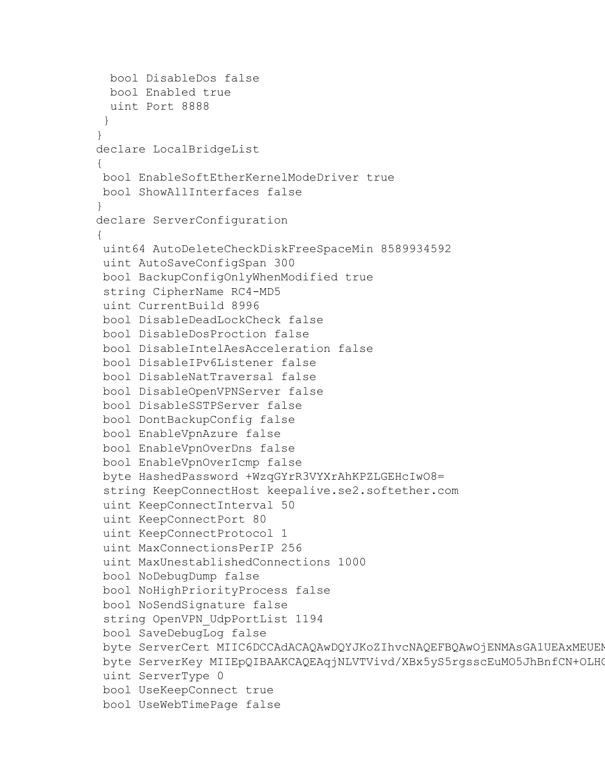```
bool DisableDos false
bool Enabled true
uint Port 8888
}
}
declare LocalBridgeList
{
bool EnableSoftEtherKernelModeDriver true
bool ShowAllInterfaces false
}
declare ServerConfiguration
{
uint64 AutoDeleteCheckDiskFreeSpaceMin 8589934592
uint AutoSaveConfigSpan 300
bool BackupConfigOnlyWhenModified true
string CipherName RC4-MD5
uint CurrentBuild 8996
bool DisableDeadLockCheck false
bool DisableDosProction false
bool DisableIntelAesAcceleration false
bool DisableIPv6Listener false
bool DisableNatTraversal false
bool DisableOpenVPNServer false
bool DisableSSTPServer false
bool DontBackupConfig false
bool EnableVpnAzure false
bool EnableVpnOverDns false
bool EnableVpnOverIcmp false
byte HashedPassword +WzqGYrR3VYXrAhKPZLGEHcIwO8=
string KeepConnectHost keepalive.se2.softether.com
uint KeepConnectInterval 50
uint KeepConnectPort 80
uint KeepConnectProtocol 1
uint MaxConnectionsPerIP 256
uint MaxUnestablishedConnections 1000
bool NoDebugDump false
bool NoHighPriorityProcess false
bool NoSendSignature false
string OpenVPN_UdpPortList 1194
bool SaveDebugLog false
byte ServerCert MIIC6DCCAdACAQAwDQYJKoZIhvcNAQEFBQAwOjENMAsGA1UEAxMEUEN
byte ServerKey MIIEpQIBAAKCAQEAqjNLVTVivd/XBx5yS5rgsscEuMO5JhBnfCN+OLH(
uint ServerType 0
bool UseKeepConnect true
bool UseWebTimePage false
```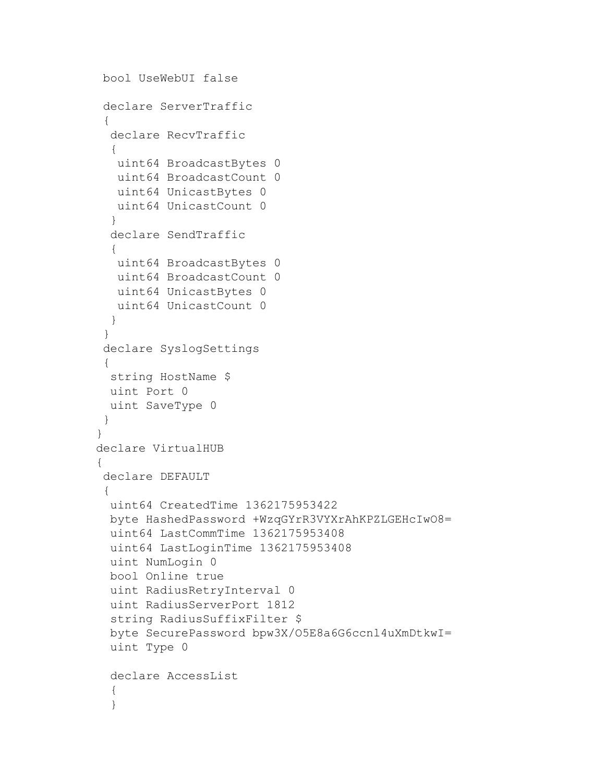```
bool UseWebUI false
 declare ServerTraffic
 {
  declare RecvTraffic
  {
  uint64 BroadcastBytes 0
   uint64 BroadcastCount 0
   uint64 UnicastBytes 0
   uint64 UnicastCount 0
  }
  declare SendTraffic
  {
  uint64 BroadcastBytes 0
   uint64 BroadcastCount 0
   uint64 UnicastBytes 0
   uint64 UnicastCount 0
  }
 }
 declare SyslogSettings
 {
 string HostName $
 uint Port 0
 uint SaveType 0
 }
}
declare VirtualHUB
{
 declare DEFAULT
 {
 uint64 CreatedTime 1362175953422
  byte HashedPassword +WzqGYrR3VYXrAhKPZLGEHcIwO8=
  uint64 LastCommTime 1362175953408
  uint64 LastLoginTime 1362175953408
  uint NumLogin 0
  bool Online true
  uint RadiusRetryInterval 0
  uint RadiusServerPort 1812
  string RadiusSuffixFilter $
  byte SecurePassword bpw3X/O5E8a6G6ccnl4uXmDtkwI=
  uint Type 0
  declare AccessList
  {
  }
```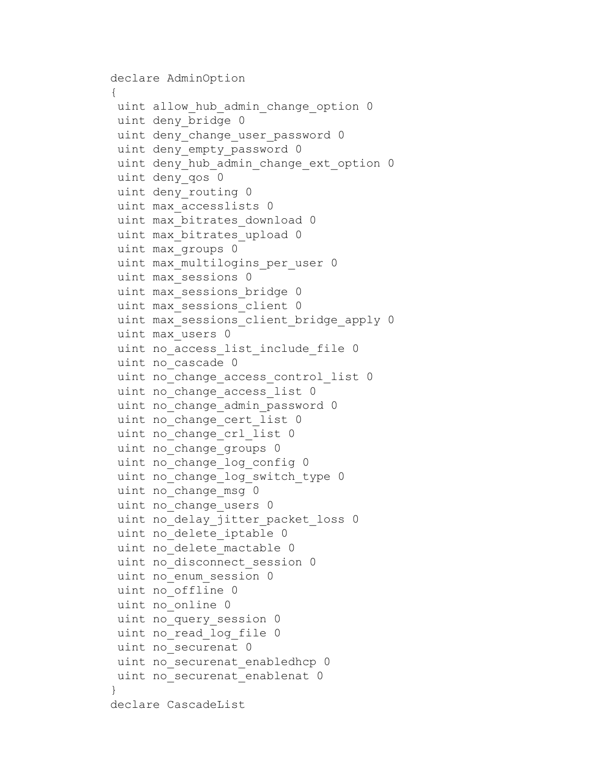```
declare AdminOption
\left\{ \right.uint allow hub admin change option 0
uint deny bridge 0
uint deny_change_user password 0
uint deny empty password 0
uint deny hub admin change ext option 0
uint deny qos 0
uint deny routing 0
uint max accesslists 0
uint max bitrates download 0
 uint max bitrates upload 0
uint max groups 0
uint max multilogins per user 0
uint max sessions 0
uint max sessions bridge 0
uint max sessions client 0
uint max sessions client bridge apply 0
uint max users 0
uint no access list include file 0
uint no cascade 0
uint no change access control list 0
 uint no change access list 0
uint no change admin password 0
uint no change cert list 0
uint no change crl list 0
uint no change groups 0
uint no change log config 0
uint no change log switch type 0
uint no change msg 0
uint no change users 0
uint no delay jitter packet loss 0
uint no delete iptable 0
uint no delete mactable 0
uint no disconnect session 0
uint no enum session 0
uint no offline 0
uint no online 0
uint no query session 0
uint no read log file 0
uint no securenat 0
uint no securenat enabledhcp 0
uint no securenat enablenat 0
\mathcal{E}declare CascadeList
```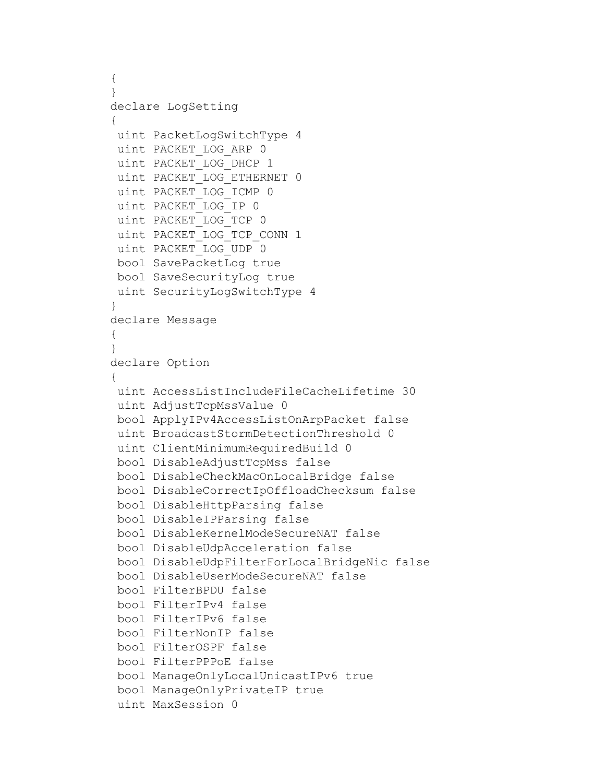```
{
}
declare LogSetting
{
uint PacketLogSwitchType 4
uint PACKET_LOG_ARP 0
uint PACKET_LOG_DHCP 1
uint PACKET LOG ETHERNET 0
uint PACKET_LOG_ICMP 0
uint PACKET_LOG_IP 0
uint PACKET_LOG_TCP 0
 uint PACKET LOG TCP CONN 1
uint PACKET_LOG_UDP 0
bool SavePacketLog true
bool SaveSecurityLog true
uint SecurityLogSwitchType 4
}
declare Message
{
}
declare Option
{
uint AccessListIncludeFileCacheLifetime 30
uint AdjustTcpMssValue 0
bool ApplyIPv4AccessListOnArpPacket false
uint BroadcastStormDetectionThreshold 0
uint ClientMinimumRequiredBuild 0
bool DisableAdjustTcpMss false
bool DisableCheckMacOnLocalBridge false
bool DisableCorrectIpOffloadChecksum false
bool DisableHttpParsing false
bool DisableIPParsing false
bool DisableKernelModeSecureNAT false
bool DisableUdpAcceleration false
bool DisableUdpFilterForLocalBridgeNic false
bool DisableUserModeSecureNAT false
bool FilterBPDU false
bool FilterIPv4 false
bool FilterIPv6 false
bool FilterNonIP false
bool FilterOSPF false
bool FilterPPPoE false
bool ManageOnlyLocalUnicastIPv6 true
bool ManageOnlyPrivateIP true
 uint MaxSession 0
```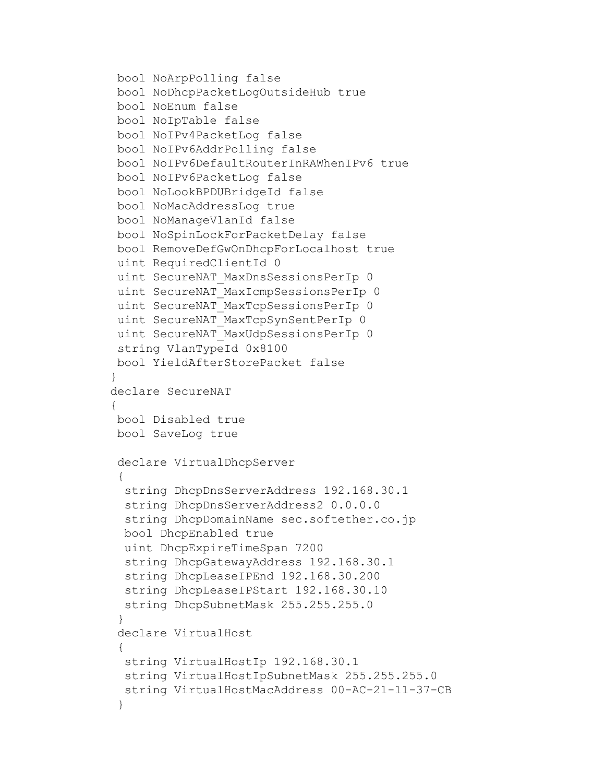```
bool NoArpPolling false
bool NoDhcpPacketLogOutsideHub true
bool NoEnum false
bool NoIpTable false
bool NoIPv4PacketLog false
bool NoIPv6AddrPolling false
bool NoIPv6DefaultRouterInRAWhenIPv6 true
bool NoIPv6PacketLog false
bool NoLookBPDUBridgeId false
bool NoMacAddressLog true
bool NoManageVlanId false
bool NoSpinLockForPacketDelay false
bool RemoveDefGwOnDhcpForLocalhost true
uint RequiredClientId 0
uint SecureNAT MaxDnsSessionsPerIp 0
uint SecureNAT MaxIcmpSessionsPerIp 0
uint SecureNAT MaxTcpSessionsPerIp 0
uint SecureNAT MaxTcpSynSentPerIp 0
uint SecureNAT MaxUdpSessionsPerIp 0
string VlanTypeId 0x8100
bool YieldAfterStorePacket false
}
declare SecureNAT
{
bool Disabled true
bool SaveLog true
declare VirtualDhcpServer
 {
 string DhcpDnsServerAddress 192.168.30.1
 string DhcpDnsServerAddress2 0.0.0.0
 string DhcpDomainName sec.softether.co.jp
 bool DhcpEnabled true
 uint DhcpExpireTimeSpan 7200
 string DhcpGatewayAddress 192.168.30.1
  string DhcpLeaseIPEnd 192.168.30.200
 string DhcpLeaseIPStart 192.168.30.10
 string DhcpSubnetMask 255.255.255.0
 }
declare VirtualHost
 {
 string VirtualHostIp 192.168.30.1
 string VirtualHostIpSubnetMask 255.255.255.0
 string VirtualHostMacAddress 00-AC-21-11-37-CB
 }
```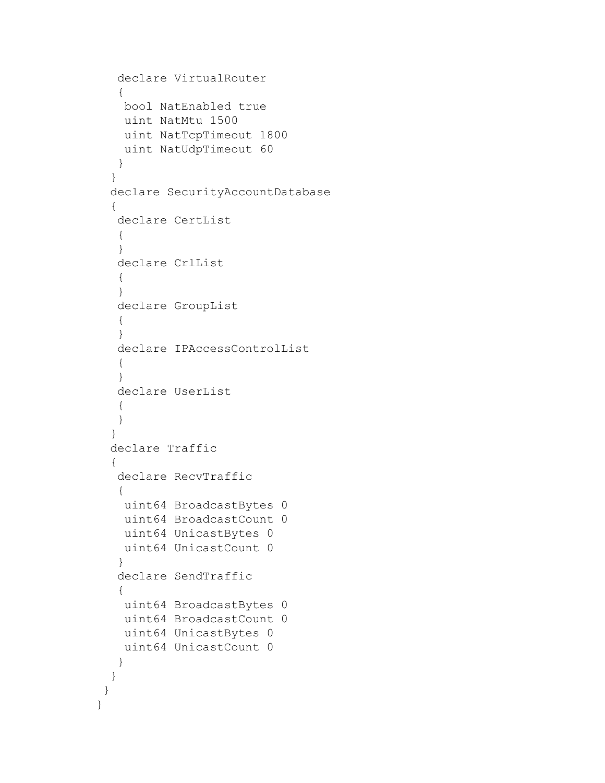```
declare VirtualRouter
  {
  bool NatEnabled true
  uint NatMtu 1500
  uint NatTcpTimeout 1800
   uint NatUdpTimeout 60
  }
 }
declare SecurityAccountDatabase
 {
  declare CertList
  {
  }
  declare CrlList
  {
  }
  declare GroupList
  {
  }
  declare IPAccessControlList
  {
  }
  declare UserList
  {
  }
 }
declare Traffic
 {
 declare RecvTraffic
  {
  uint64 BroadcastBytes 0
  uint64 BroadcastCount 0
  uint64 UnicastBytes 0
  uint64 UnicastCount 0
  }
  declare SendTraffic
  {
  uint64 BroadcastBytes 0
  uint64 BroadcastCount 0
  uint64 UnicastBytes 0
  uint64 UnicastCount 0
  }
 }
}
```
}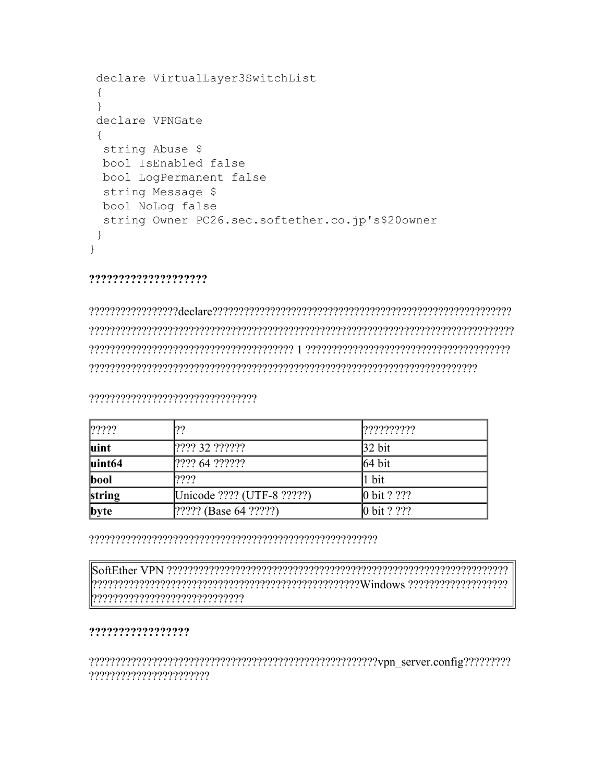```
declare VirtualLayer3SwitchList
 \{\mathcal{L}declare VPNGate
 string Abuse $
 bool IsEnabled false
 bool LogPermanent false
 string Message $
 bool NoLog false
  string Owner PC26.sec.softether.co.jp's$20owner
 \}\lambda
```
#### ????????????????????

| $ ?$ ????          | ??                                      | $\left ??\right\rangle ??\right\rangle ??\right\rangle$ |
|--------------------|-----------------------------------------|---------------------------------------------------------|
| luint              | [????32???????                          | $ 32 \text{ bit} $                                      |
| uint <sub>64</sub> | $\left[ ? ? ? ? 64 ? ? ? ? ? ? \right]$ | $ 64 \text{ bit} $                                      |
| bool               | ????                                    | 1 bit                                                   |
| string             | [Unicode ???? (UTF-8 ?????)             | 0 bit ? ???                                             |
| byte               | $[?????$ (Base 64 ?????)                | 0 bit ? ???                                             |

#### ?????????????????

???????????????????????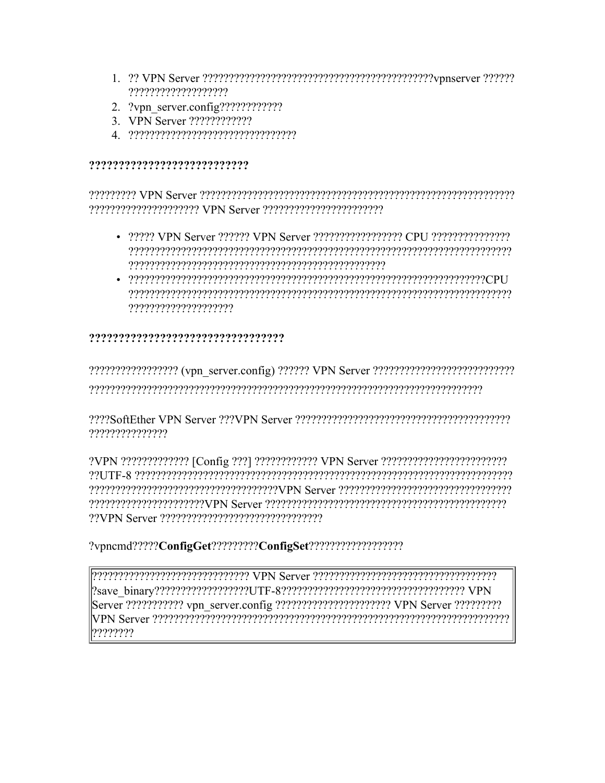- ???????????????????
- 2.  $?vm server.config????????????$
- 
- 

## ???????????????????????????

222222222222222222222224 VPN Server 2222222222222222222222222

- 
- $\bullet$  . The construction of the construction of the construction of the construction of the constant of  $\rm CHU$ ????????????????????

#### 

, autoidente de la conceptation de la conceptation de la conceptation de la conceptation de la conceptation de

???????????????

reserved the constraint of the constraint of the constraint of the Series of the Series of the Series of the S 

## 

Server ??????????? vpn server.config ??????????????????????? VPN Server ?????????? ????????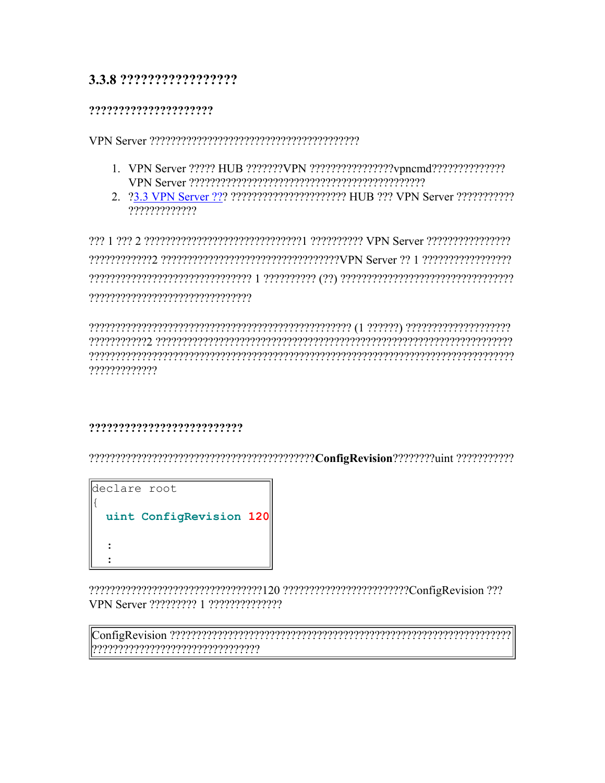#### 3.3.8 ?????????????????

??????????????????????

- 
- 777777777777

?????????????

#### 

declare root uint ConfigRevision 120  $\ddot{\cdot}$  $\ddot{\cdot}$ 

VPN Server ????????? 1 ??????????????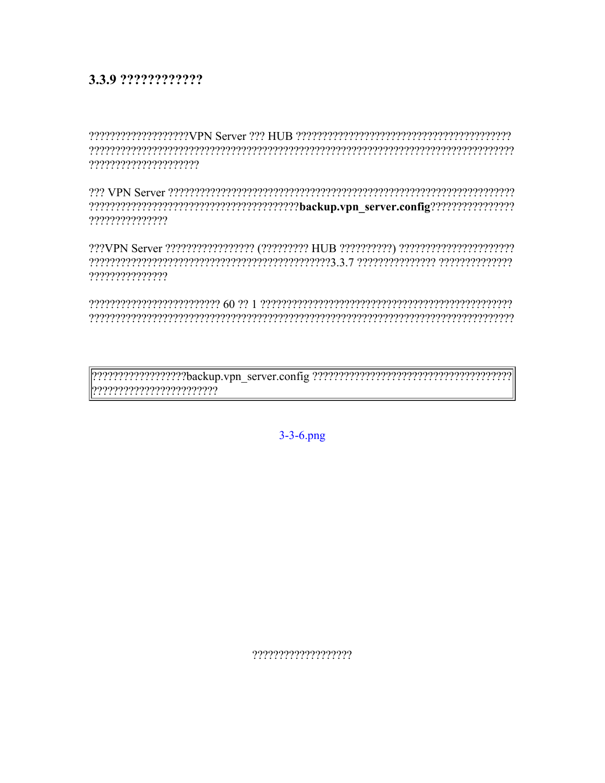## 3.3.9 ????????????

?????????????????????

???????????????

???????????????

????????????????????????

 $3 - 3 - 6$ .png

???????????????????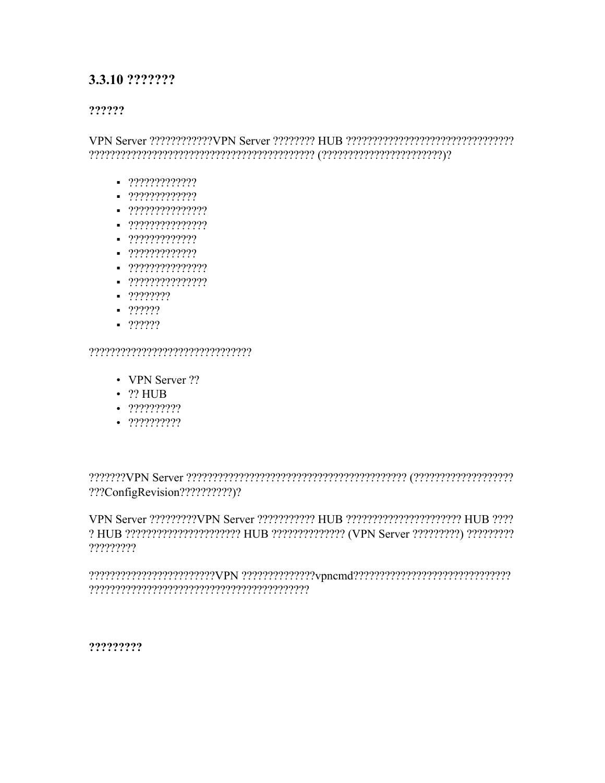# 3.3.10 ???????

#### ??????

- 
- $-222222222222$
- $-2222222222222$
- $-22222222222222$
- $-22222222222$
- $-22222222222$
- $-2222222222222$
- $-22222222222222$
- $-222222$
- $-22222$
- $-222222$

#### 

- VPN Server ??
- $\cdot$  ?? HUB
- $. 222222222$
- $. 7777777777$

???ConfigRevision??????????????

VPN Server ?????????VPN Server ??????????? HUB ?????????????????????? HUB ???? ?????????

?????????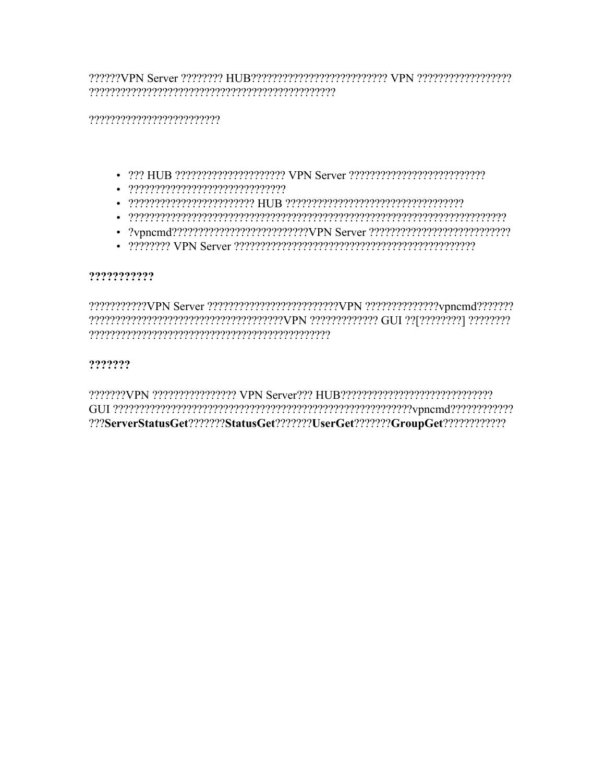PERSON THE PRESENT VALUATION OF THE PRESENT AND THE PRESENT OF THE PRESENT OF THE PRESENT OF THE PRESENT OF TH 

??????????????????????????

- 
- 
- 22222222222222222222222224HUB 222222222222222222222222222222222223
- 
- 
- 

#### ???????????

#### ???????

???ServerStatusGet???????StatusGet???????UserGet???????GroupGet????????????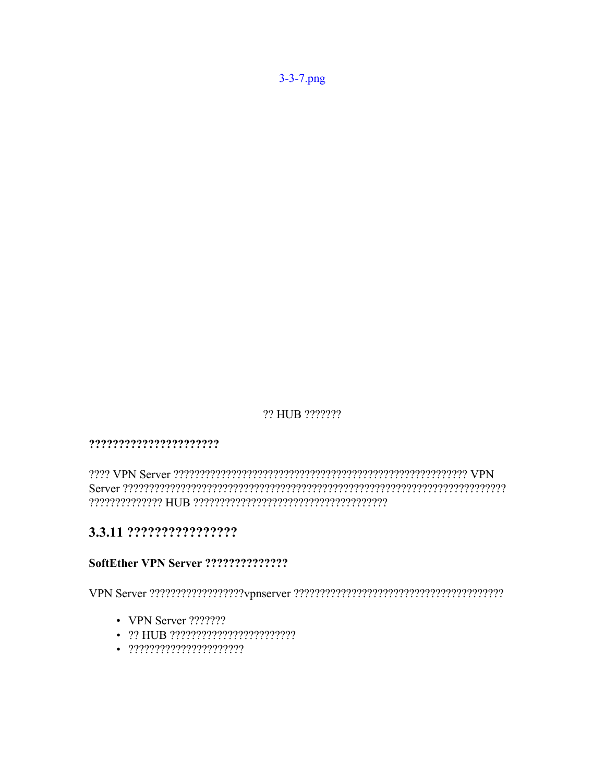$3 - 3 - 7$ .png

#### ?? HUB ???????

#### ??????????????????????

## 

#### 

- VPN Server  $???????$
- $?? HUB ????????????????????????$
-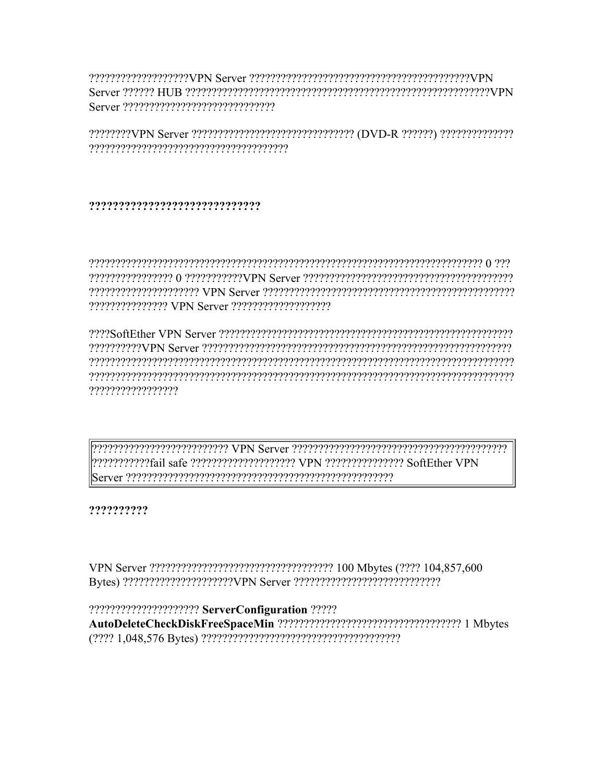PHYSTERS CONTROLLED TO CONTROLL THE PROPERTY AND THE SERVE CONTROLLED A PHYSTER CONTROLLED A LIBERTY OF THE LI 

## ?????????????????????????????

יריב 0 בברכבובר ברכבוב ברכבוב ברכבוב ברכבוב ברכבוב ברכבוב ברכבוב ברכבוב ברכבוב ברכבוב ברכבוב ברכבוב ברכבוב בר renteren verscheren der Statten der Seiten der Statten der Preisen der entgelehen der Statten der Statten der 

recepterpreserverporterpreserverserverpreserverpreserverpreserverpreserverpreserverpreserverpreserverpreserver <u>aasaa maaraalaa aanaa aanaa aanaa aanaa aanaa aanaa aanaa aanaa aanaa aanaa aanaa aanaa aanaa aanaa aanaa aan</u> ?????????????????

??????????

????????????????????? ServerConfiguration ?????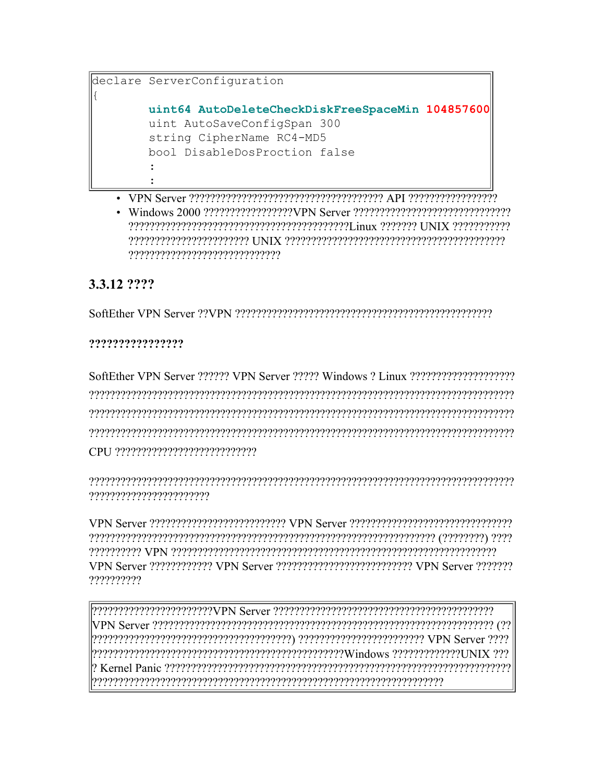declare ServerConfiguration

```
uint64 AutoDeleteCheckDiskFreeSpaceMin 104857600
uint AutoSaveConfigSpan 300
string CipherName RC4-MD5
bool DisableDosProction false
```
- 
- 

# 3.3.12 ????

## ????????????????

reserverenen erreserrentaren alternational erreta erreta erreta elago erreta erreta erreta erreta erreta erret 

????????????????????????

VPN Server ???????????? VPN Server ???????????????????????????? VPN Server ??????? ??????????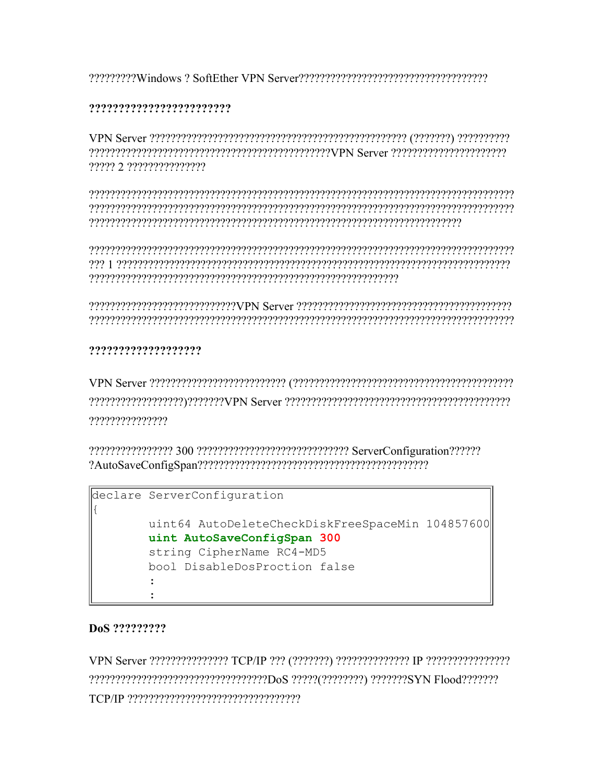### ?????????????????????????

reserverenen erreserrentaren alternational erreta erreta erreta elago erreta erreta erreta erreta erreta erret 

reserverenen erreserrentaren alternational erreta erreta erreta elago erreta erreta erreta erreta erreta erret 

, energenengen ergebeteren er en en der antikelen er en den en der energenengen en der energenengen ergenengen

#### ,,,,,,,,,,,,,,,,,,,,,

77777777777777

```
declare ServerConfiguration
```

```
uint64 AutoDeleteCheckDiskFreeSpaceMin 104857600
uint AutoSaveConfigSpan 300
string CipherName RC4-MD5
bool DisableDosProction false
\cdot
```
#### DoS ?????????

??????????????????????????????????DoS ?????(????????) ???????SYN Flood???????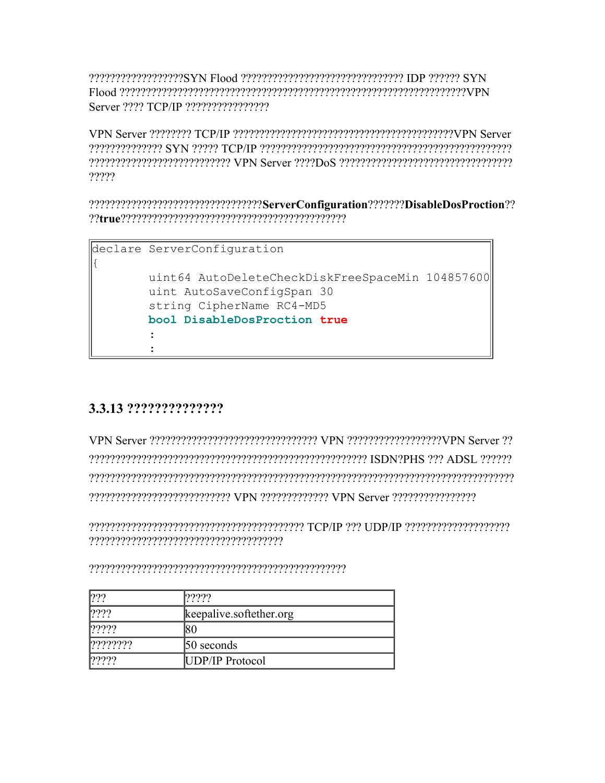CYN EIDP *(CPT) CREAT CHAPTAIRT CHAPTAIRE CHAPTAIRT CHAPTAIRT CHAPTAIRT CHAPTAIRT CHAPTAIRT CHAPTAIRT CHAPTAIRT C* 

?????

??????????????????????????????????ServerConfiguration???????DisableDosProction?? 

```
declare ServerConfiguration
        uint64 AutoDeleteCheckDiskFreeSpaceMin 104857600
        uint AutoSaveConfigSpan 30
        string CipherName RC4-MD5
        bool DisableDosProction true
         \ddot{z}\ddot{\cdot}
```
# 3.3.13 ???????????????

CONPERS 222 ADSI 222222 (CONPERTING CONTROLS) 222223 

| 222     | ?????                   |
|---------|-------------------------|
| 2222    | keepalive.softether.org |
| 2222    | 80                      |
| 2222222 | 50 seconds              |
| 12222   | <b>UDP/IP Protocol</b>  |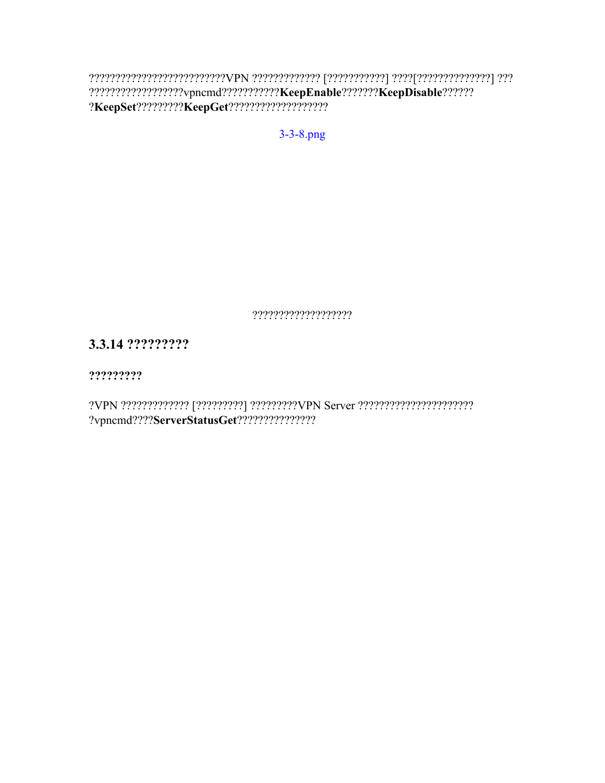???????????????????ypncmd???????????KeepEnable???????KeepDisable?????? 

3-3-8.png

????????????????????

# 3.3.14 ?????????

## ?????????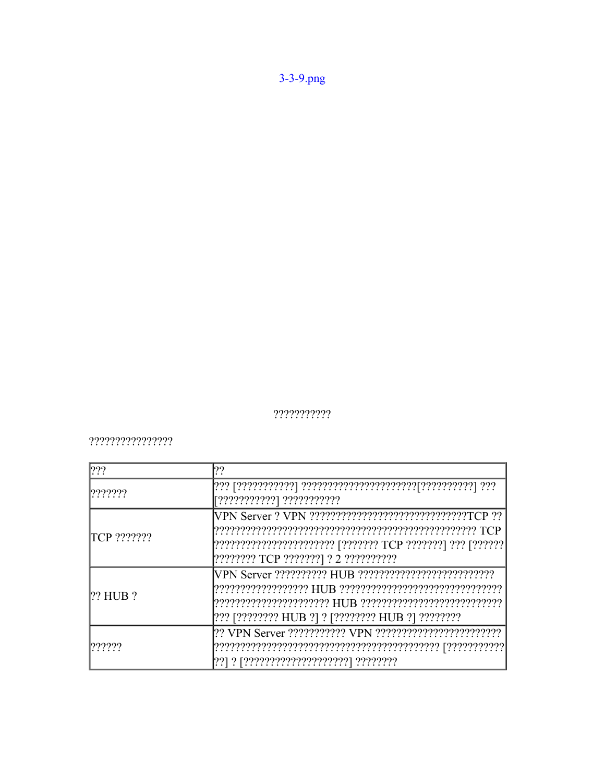| ???                | ??                                                                                                                      |
|--------------------|-------------------------------------------------------------------------------------------------------------------------|
| ???????            | ????????????   ????????????                                                                                             |
| <b>TCP</b> ??????? | VPN Server ? VPN ??????????????????????????????TCP ??<br> ???????????????????????? [??????? TCP ??????? ] ??? [?????? ] |
| $??$ HUB $?$       | ??? [???????? HUB ?] ? [???????? HUB ?] ?????????                                                                       |
| ??????             |                                                                                                                         |

 $???????????????$ 

???????????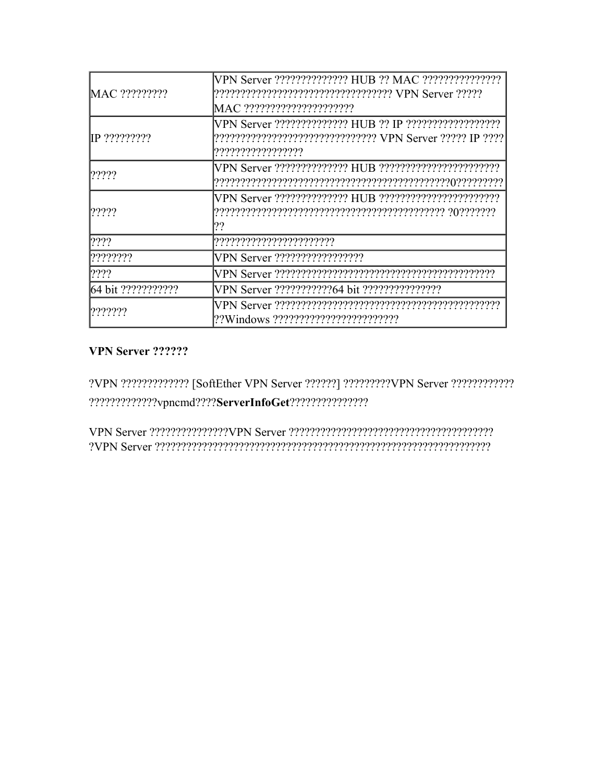| MAC ??????????  | ?????????????????????????????????? VPN Server ?????       |  |  |
|-----------------|-----------------------------------------------------------|--|--|
|                 | MAC ??????????????????????                                |  |  |
|                 |                                                           |  |  |
| $IP$ ?????????? | ???????????????????????????????? VPN Server ????? IP ???? |  |  |
|                 | ??????????????????                                        |  |  |
| ?????           |                                                           |  |  |
|                 |                                                           |  |  |
|                 |                                                           |  |  |
| [?????          |                                                           |  |  |
|                 |                                                           |  |  |
| ????            | ,,,,,,,,,,,,,,,,,,,,,,,,,                                 |  |  |
| ????????        |                                                           |  |  |
| ????            |                                                           |  |  |
|                 |                                                           |  |  |
| 2222222         |                                                           |  |  |
|                 |                                                           |  |  |

#### VPN Server ??????

?VPN ????????????? [SoftEther VPN Server ??????] ????????VPN Server ?????????????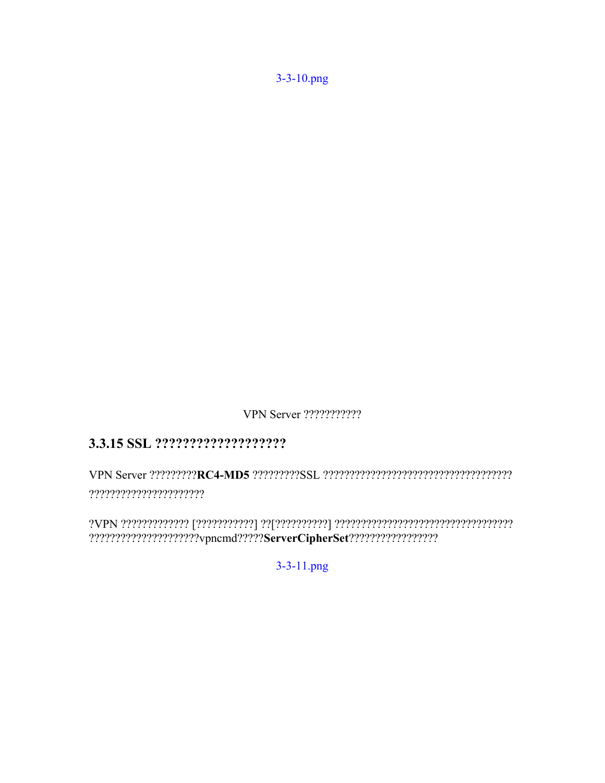$3 - 3 - 10$ .png

VPN Server ???????????

# 

 $3 - 3 - 11$ .png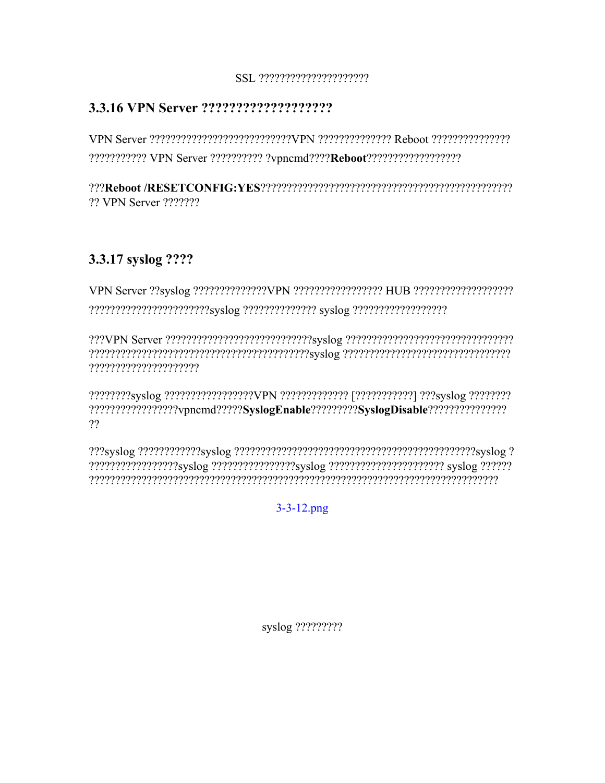# 

**22 VPN Server 2222222** 

# 3.3.17 syslog ????

????????syslog ??????????????????VPN ????????????? [???????????] ???syslog ????????? ?????????????????ypncmd?????SyslogEnable????????SyslogDisable???????????????????? ??

???????????????????syslog ????????????????syslog ?????????????????????????? syslog ?????? 

 $3 - 3 - 12$ .png

syslog ?????????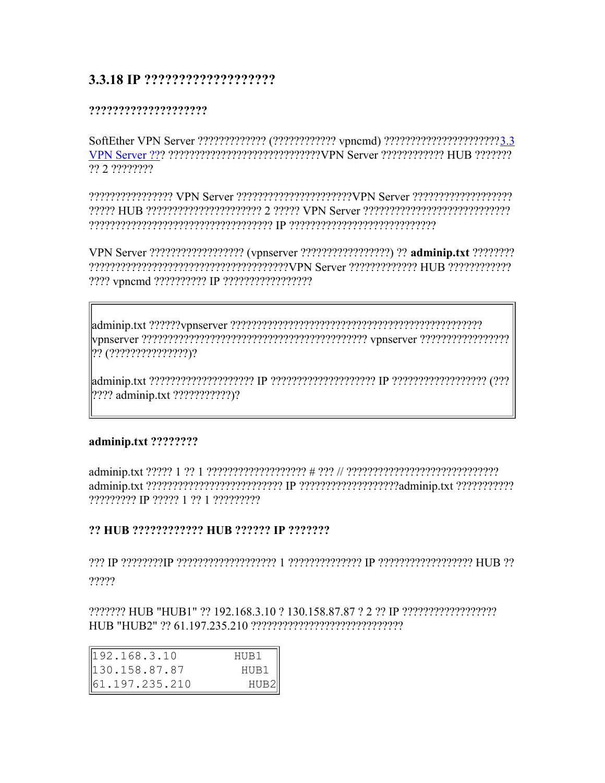## 

#### ?????????????????????

SoftEther VPN Server ?????????????? (???????????? vpncmd) ???????????????????????????3.3 VPN Server ??? ????????????????????????????VPN Server ???????????? HUB ??????? ?? 2 ????????

Processed HUB 20222222222222222222223 VPN Server 20222222222222222222222222222222 

VPN Server ??????????????????? (vpnserver ???????????????????) ?? adminip.txt ???????? 

 $|??$  (????????????????)?

#### adminip.txt ????????

222222222 IP 22222 1 22 1 222222222

#### ?? HUB ???????????? HUB ?????? IP ???????

?????

2222222 HUB "HUB1" 22 192.168.3.10 2 130.158.87.87 2 2 22 IP 22222222222222222222 

| 192.168.3.10          | HUB1 |
|-----------------------|------|
| $\vert 130.158.87.87$ | HUB1 |
| $\ 61.197.235.210$    | HUB2 |